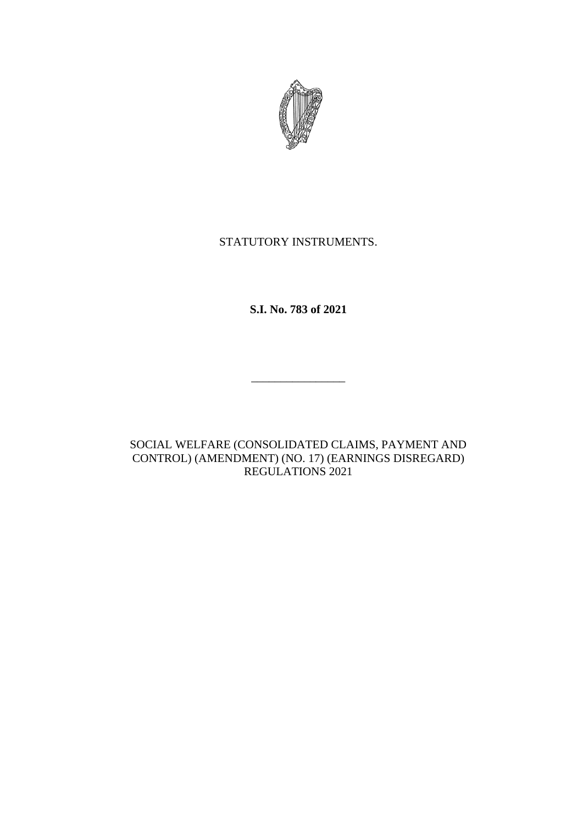

# STATUTORY INSTRUMENTS.

**S.I. No. 783 of 2021**

\_\_\_\_\_\_\_\_\_\_\_\_\_\_\_\_

SOCIAL WELFARE (CONSOLIDATED CLAIMS, PAYMENT AND CONTROL) (AMENDMENT) (NO. 17) (EARNINGS DISREGARD) REGULATIONS 2021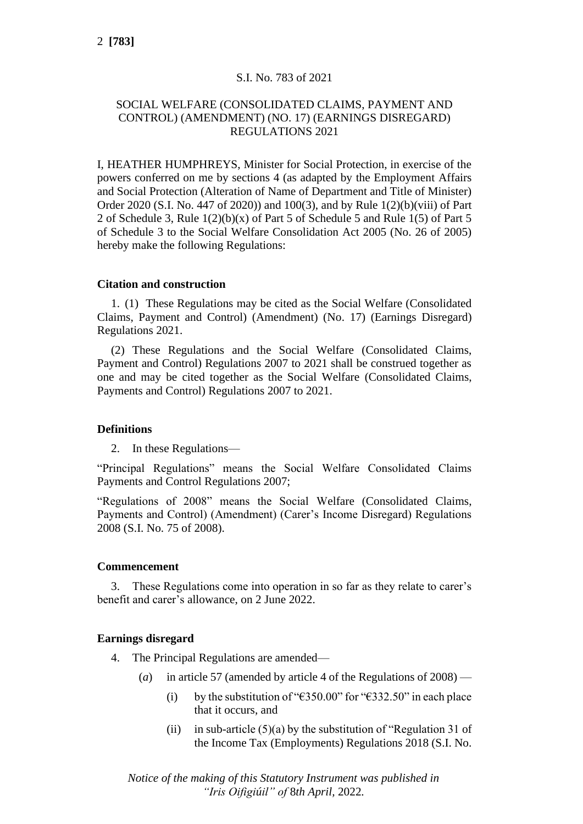# S.I. No. 783 of 2021

# SOCIAL WELFARE (CONSOLIDATED CLAIMS, PAYMENT AND CONTROL) (AMENDMENT) (NO. 17) (EARNINGS DISREGARD) REGULATIONS 2021

I, HEATHER HUMPHREYS, Minister for Social Protection, in exercise of the powers conferred on me by sections 4 (as adapted by the Employment Affairs and Social Protection (Alteration of Name of Department and Title of Minister) Order 2020 (S.I. No. 447 of 2020)) and 100(3), and by Rule 1(2)(b)(viii) of Part 2 of Schedule 3, Rule 1(2)(b)(x) of Part 5 of Schedule 5 and Rule 1(5) of Part 5 of Schedule 3 to the Social Welfare Consolidation Act 2005 (No. 26 of 2005) hereby make the following Regulations:

## **Citation and construction**

1. (1) These Regulations may be cited as the Social Welfare (Consolidated Claims, Payment and Control) (Amendment) (No. 17) (Earnings Disregard) Regulations 2021.

(2) These Regulations and the Social Welfare (Consolidated Claims, Payment and Control) Regulations 2007 to 2021 shall be construed together as one and may be cited together as the Social Welfare (Consolidated Claims, Payments and Control) Regulations 2007 to 2021.

#### **Definitions**

2. In these Regulations—

"Principal Regulations" means the Social Welfare Consolidated Claims Payments and Control Regulations 2007;

"Regulations of 2008" means the Social Welfare (Consolidated Claims, Payments and Control) (Amendment) (Carer's Income Disregard) Regulations 2008 (S.I. No. 75 of 2008).

#### **Commencement**

3. These Regulations come into operation in so far as they relate to carer's benefit and carer's allowance, on 2 June 2022.

#### **Earnings disregard**

- 4. The Principal Regulations are amended—
	- (*a*) in article 57 (amended by article 4 of the Regulations of 2008)
		- (i) by the substitution of " $\epsilon$ 350.00" for " $\epsilon$ 332.50" in each place that it occurs, and
		- (ii) in sub-article  $(5)(a)$  by the substitution of "Regulation 31 of the Income Tax (Employments) Regulations 2018 (S.I. No.

*Notice of the making of this Statutory Instrument was published in "Iris Oifigiúil" of* 8*th April,* 2022*.*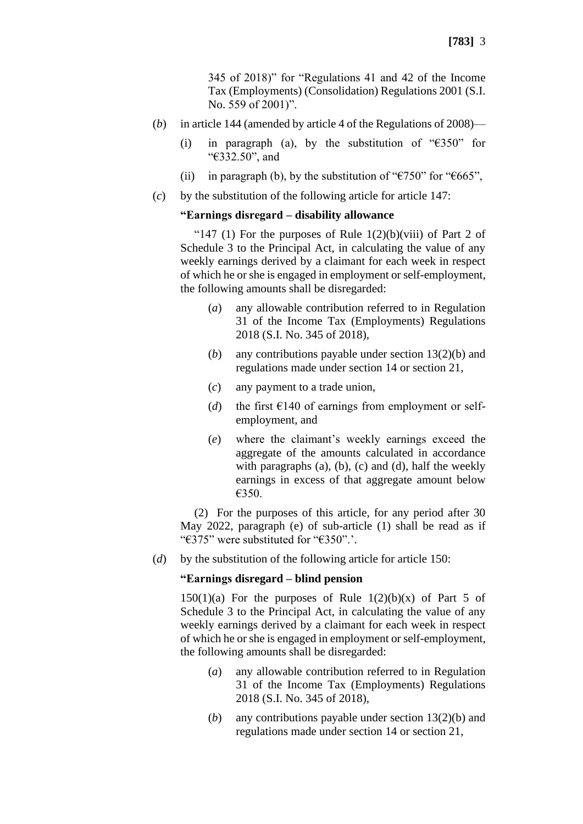345 of 2018)" for "Regulations 41 and 42 of the Income Tax (Employments) (Consolidation) Regulations 2001 (S.I. No. 559 of 2001)".

- (*b*) in article 144 (amended by article 4 of the Regulations of 2008)—
	- (i) in paragraph (a), by the substitution of " $E350$ " for "€332.50", and
	- (ii) in paragraph (b), by the substitution of " $\epsilon$ 750" for " $\epsilon$ 665",
- (*c*) by the substitution of the following article for article 147:

#### **"Earnings disregard – disability allowance**

"147 (1) For the purposes of Rule  $1(2)(b)(viii)$  of Part 2 of Schedule 3 to the Principal Act, in calculating the value of any weekly earnings derived by a claimant for each week in respect of which he or she is engaged in employment or self-employment, the following amounts shall be disregarded:

- (*a*) any allowable contribution referred to in Regulation 31 of the Income Tax (Employments) Regulations 2018 (S.I. No. 345 of 2018),
- (*b*) any contributions payable under section 13(2)(b) and regulations made under section 14 or section 21,
- (*c*) any payment to a trade union,
- (*d*) the first  $\epsilon$ 140 of earnings from employment or selfemployment, and
- (*e*) where the claimant's weekly earnings exceed the aggregate of the amounts calculated in accordance with paragraphs  $(a)$ ,  $(b)$ ,  $(c)$  and  $(d)$ , half the weekly earnings in excess of that aggregate amount below €350.

(2) For the purposes of this article, for any period after 30 May 2022, paragraph (e) of sub-article (1) shall be read as if "€375" were substituted for "€350".'.

(*d*) by the substitution of the following article for article 150:

#### **"Earnings disregard – blind pension**

 $150(1)(a)$  For the purposes of Rule  $1(2)(b)(x)$  of Part 5 of Schedule 3 to the Principal Act, in calculating the value of any weekly earnings derived by a claimant for each week in respect of which he or she is engaged in employment or self-employment, the following amounts shall be disregarded:

- (*a*) any allowable contribution referred to in Regulation 31 of the Income Tax (Employments) Regulations 2018 (S.I. No. 345 of 2018),
- (*b*) any contributions payable under section 13(2)(b) and regulations made under section 14 or section 21,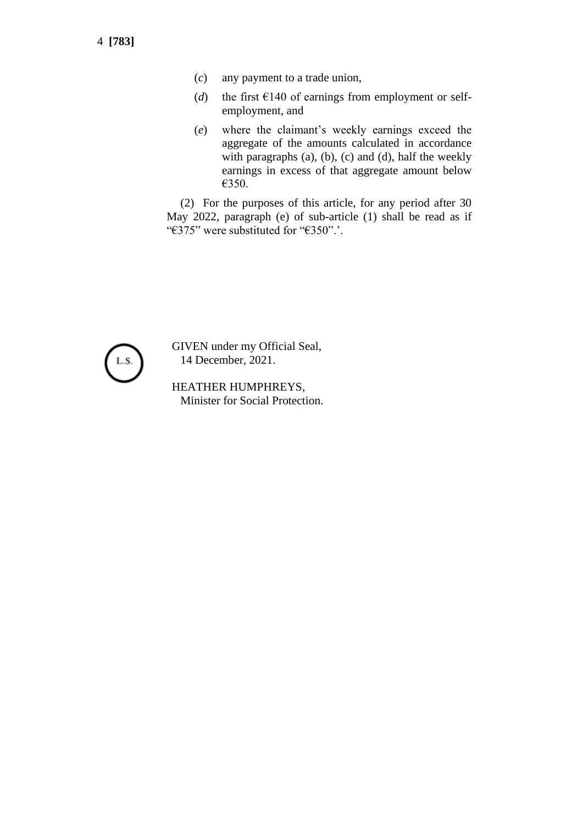4 **[783]**

- (*c*) any payment to a trade union,
- (*d*) the first  $\epsilon$ 140 of earnings from employment or selfemployment, and
- (*e*) where the claimant's weekly earnings exceed the aggregate of the amounts calculated in accordance with paragraphs (a), (b), (c) and (d), half the weekly earnings in excess of that aggregate amount below €350.

(2) For the purposes of this article, for any period after 30 May 2022, paragraph (e) of sub-article (1) shall be read as if "€375" were substituted for "€350".'.



GIVEN under my Official Seal, 14 December, 2021.

HEATHER HUMPHREYS, Minister for Social Protection.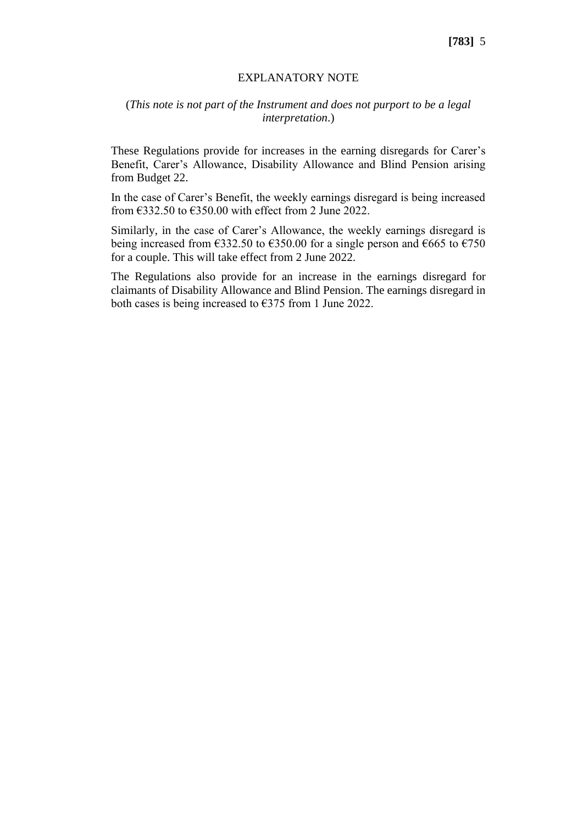#### EXPLANATORY NOTE

## (*This note is not part of the Instrument and does not purport to be a legal interpretation*.)

These Regulations provide for increases in the earning disregards for Carer's Benefit, Carer's Allowance, Disability Allowance and Blind Pension arising from Budget 22.

In the case of Carer's Benefit, the weekly earnings disregard is being increased from  $\text{\textsterling}332.50$  to  $\text{\textsterling}350.00$  with effect from 2 June 2022.

Similarly, in the case of Carer's Allowance, the weekly earnings disregard is being increased from  $\epsilon$ 332.50 to  $\epsilon$ 350.00 for a single person and  $\epsilon$ 665 to  $\epsilon$ 750 for a couple. This will take effect from 2 June 2022.

The Regulations also provide for an increase in the earnings disregard for claimants of Disability Allowance and Blind Pension. The earnings disregard in both cases is being increased to  $\epsilon$ 375 from 1 June 2022.